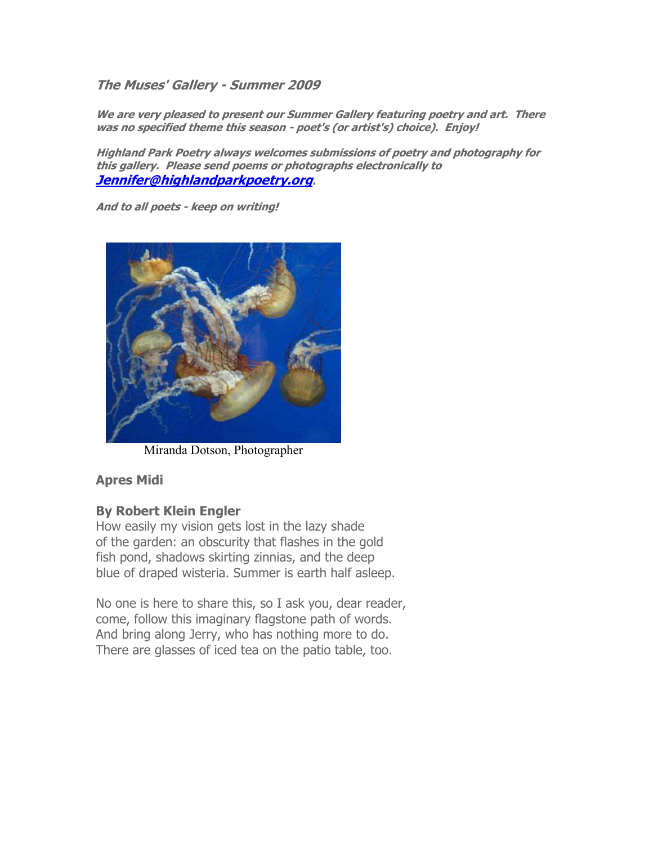**The Muses' Gallery - Summer 2009** 

**We are very pleased to present our Summer Gallery featuring poetry and art. There was no specified theme this season - poet's (or artist's) choice). Enjoy!** 

**Highland Park Poetry always welcomes submissions of poetry and photography for this gallery. Please send poems or photographs electronically to Jennifer@highlandparkpoetry.org.** 

**And to all poets - keep on writing!**



Miranda Dotson, Photographer

## **Apres Midi**

## **By Robert Klein Engler**

How easily my vision gets lost in the lazy shade of the garden: an obscurity that flashes in the gold fish pond, shadows skirting zinnias, and the deep blue of draped wisteria. Summer is earth half asleep.

No one is here to share this, so I ask you, dear reader, come, follow this imaginary flagstone path of words. And bring along Jerry, who has nothing more to do. There are glasses of iced tea on the patio table, too.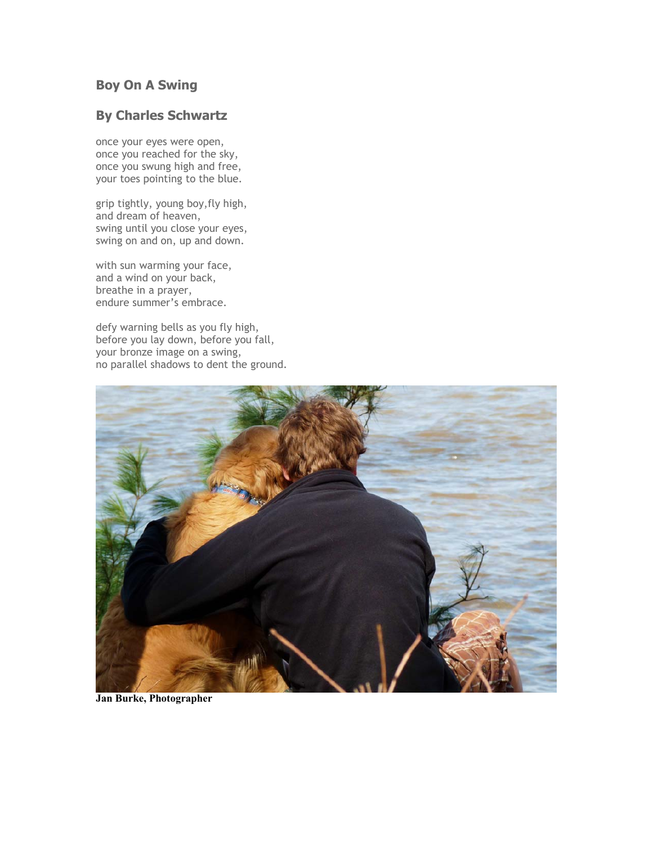# **Boy On A Swing**

# **By Charles Schwartz**

once your eyes were open, once you reached for the sky, once you swung high and free, your toes pointing to the blue.

grip tightly, young boy,fly high, and dream of heaven, swing until you close your eyes, swing on and on, up and down.

with sun warming your face, and a wind on your back, breathe in a prayer, endure summer's embrace.

defy warning bells as you fly high, before you lay down, before you fall, your bronze image on a swing, no parallel shadows to dent the ground.



**Jan Burke, Photographer**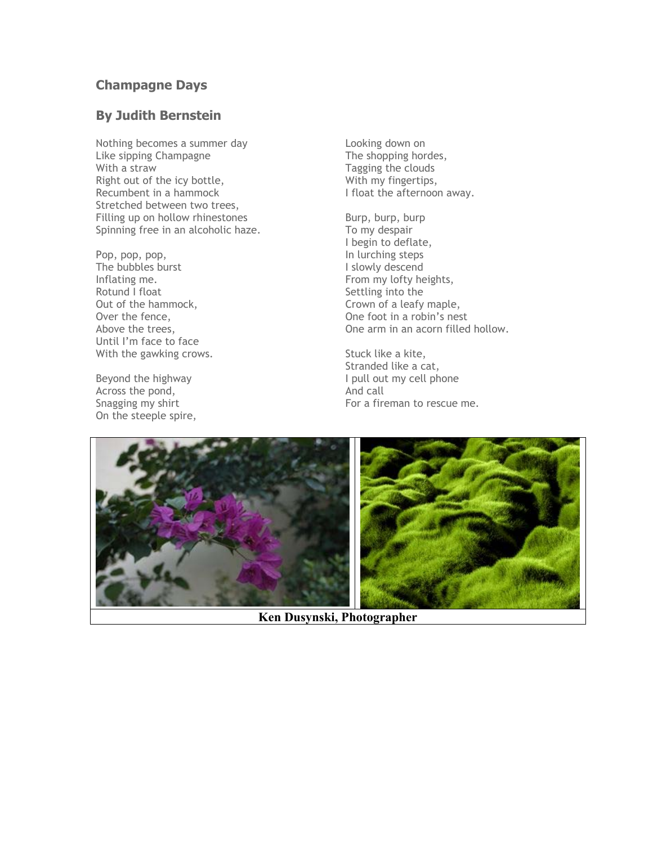# **Champagne Days**

## **By Judith Bernstein**

Nothing becomes a summer day Like sipping Champagne With a straw Right out of the icy bottle, Recumbent in a hammock Stretched between two trees, Filling up on hollow rhinestones Spinning free in an alcoholic haze.

Pop, pop, pop, The bubbles burst Inflating me. Rotund I float Out of the hammock, Over the fence, Above the trees, Until I'm face to face With the gawking crows.

Beyond the highway Across the pond, Snagging my shirt On the steeple spire,

Looking down on The shopping hordes, Tagging the clouds With my fingertips, I float the afternoon away.

Burp, burp, burp To my despair I begin to deflate, In lurching steps I slowly descend From my lofty heights, Settling into the Crown of a leafy maple, One foot in a robin's nest One arm in an acorn filled hollow.

Stuck like a kite, Stranded like a cat, I pull out my cell phone And call For a fireman to rescue me.



**Ken Dusynski, Photographer**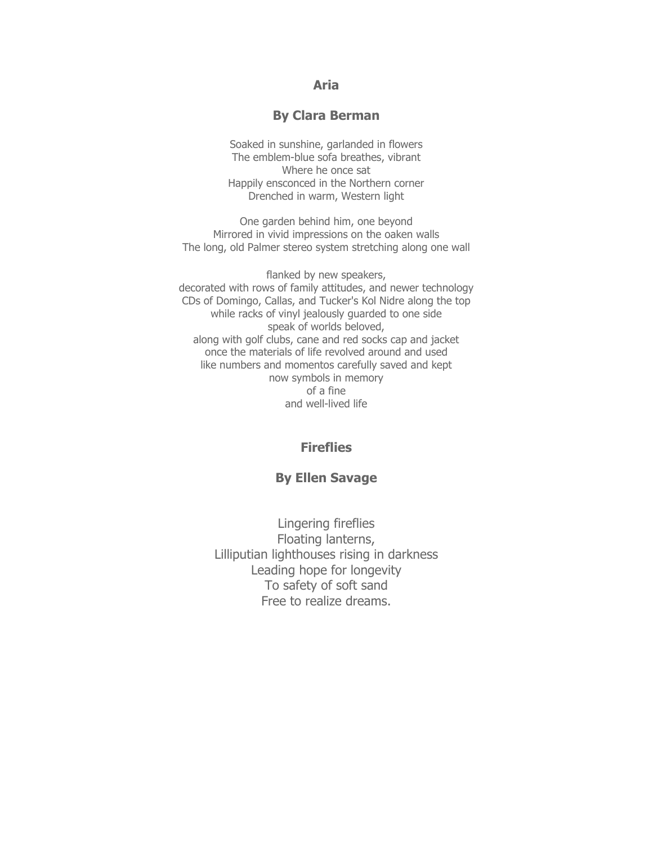### **Aria**

#### **By Clara Berman**

Soaked in sunshine, garlanded in flowers The emblem-blue sofa breathes, vibrant Where he once sat Happily ensconced in the Northern corner Drenched in warm, Western light

One garden behind him, one beyond Mirrored in vivid impressions on the oaken walls The long, old Palmer stereo system stretching along one wall

flanked by new speakers, decorated with rows of family attitudes, and newer technology CDs of Domingo, Callas, and Tucker's Kol Nidre along the top while racks of vinyl jealously guarded to one side speak of worlds beloved, along with golf clubs, cane and red socks cap and jacket once the materials of life revolved around and used like numbers and momentos carefully saved and kept now symbols in memory of a fine and well-lived life

## **Fireflies**

#### **By Ellen Savage**

Lingering fireflies Floating lanterns, Lilliputian lighthouses rising in darkness Leading hope for longevity To safety of soft sand Free to realize dreams.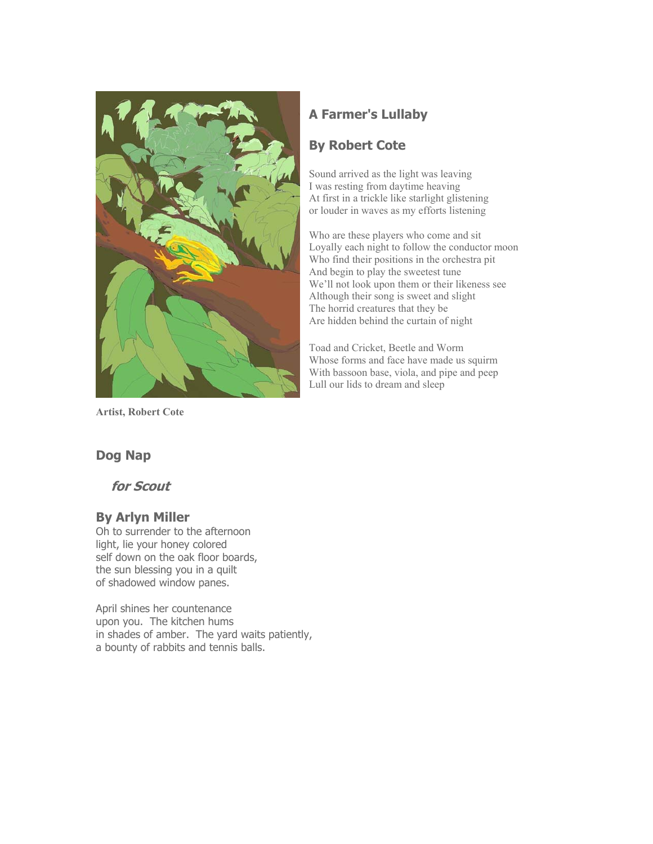

**Artist, Robert Cote**

# **A Farmer's Lullaby**

# **By Robert Cote**

Sound arrived as the light was leaving I was resting from daytime heaving At first in a trickle like starlight glistening or louder in waves as my efforts listening

Who are these players who come and sit Loyally each night to follow the conductor moon Who find their positions in the orchestra pit And begin to play the sweetest tune We'll not look upon them or their likeness see Although their song is sweet and slight The horrid creatures that they be Are hidden behind the curtain of night

Toad and Cricket, Beetle and Worm Whose forms and face have made us squirm With bassoon base, viola, and pipe and peep Lull our lids to dream and sleep

# **Dog Nap**

 **for Scout** 

# **By Arlyn Miller**

Oh to surrender to the afternoon light, lie your honey colored self down on the oak floor boards, the sun blessing you in a quilt of shadowed window panes.

April shines her countenance upon you. The kitchen hums in shades of amber. The yard waits patiently, a bounty of rabbits and tennis balls.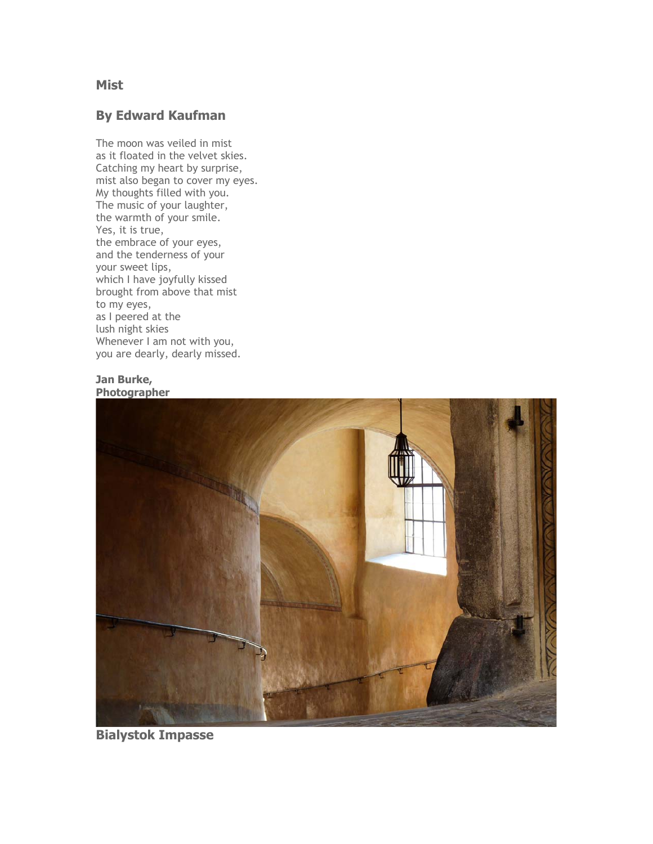## **Mist**

# **By Edward Kaufman**

The moon was veiled in mist as it floated in the velvet skies. Catching my heart by surprise, mist also began to cover my eyes. My thoughts filled with you. The music of your laughter, the warmth of your smile. Yes, it is true, the embrace of your eyes, and the tenderness of your your sweet lips, which I have joyfully kissed brought from above that mist to my eyes, as I peered at the lush night skies Whenever I am not with you, you are dearly, dearly missed.

#### **Jan Burke, Photographer**



**Bialystok Impasse**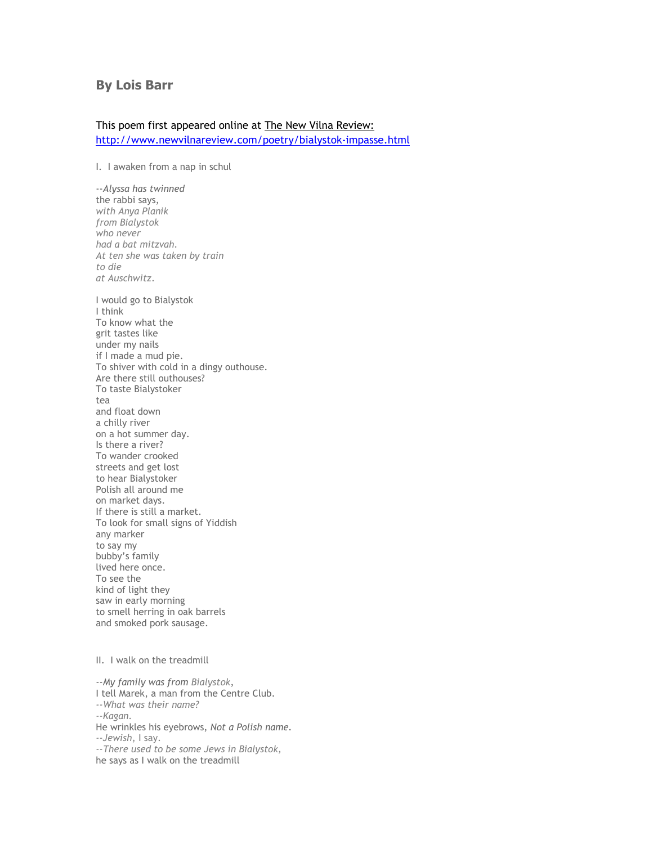#### **By Lois Barr**

#### This poem first appeared online at The New Vilna Review: http://www.newvilnareview.com/poetry/bialystok-impasse.html

I. I awaken from a nap in schul

--*Alyssa has twinned* the rabbi says, *with Anya Planik from Bialystok who never had a bat mitzvah. At ten she was taken by train to die at Auschwitz*. I would go to Bialystok I think To know what the grit tastes like under my nails if I made a mud pie. To shiver with cold in a dingy outhouse. Are there still outhouses? To taste Bialystoker tea and float down a chilly river on a hot summer day. Is there a river? To wander crooked streets and get lost to hear Bialystoker Polish all around me on market days. If there is still a market. To look for small signs of Yiddish any marker to say my bubby's family lived here once. To see the kind of light they saw in early morning to smell herring in oak barrels and smoked pork sausage.

#### II. I walk on the treadmill

--*My family was from Bialystok*, I tell Marek, a man from the Centre Club. *--What was their name? --Kagan.* He wrinkles his eyebrows, *Not a Polish name. --Jewish*, I say. *--There used to be some Jews in Bialystok,* he says as I walk on the treadmill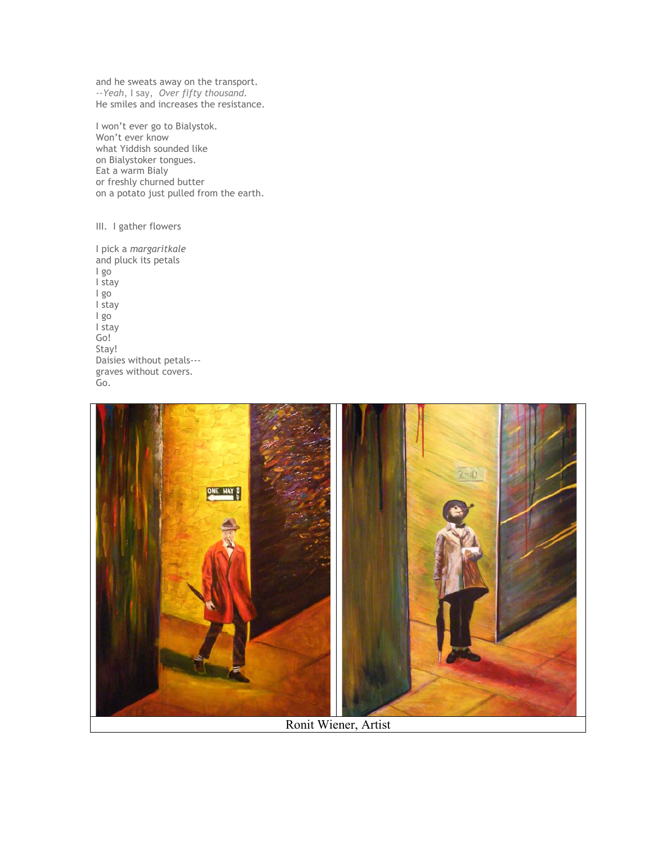and he sweats away on the transport. *--Yeah*, I say, *Over fifty thousand.* He smiles and increases the resistance.

I won't ever go to Bialystok. Won't ever know what Yiddish sounded like on Bialystoker tongues. Eat a warm Bialy or freshly churned butter on a potato just pulled from the earth.

III. I gather flowers

I pick a *margaritkale* and pluck its petals I go I stay I go I stay I go I stay Go! Stay! Daisies without petals-- graves without covers. Go.



Ronit Wiener, Artist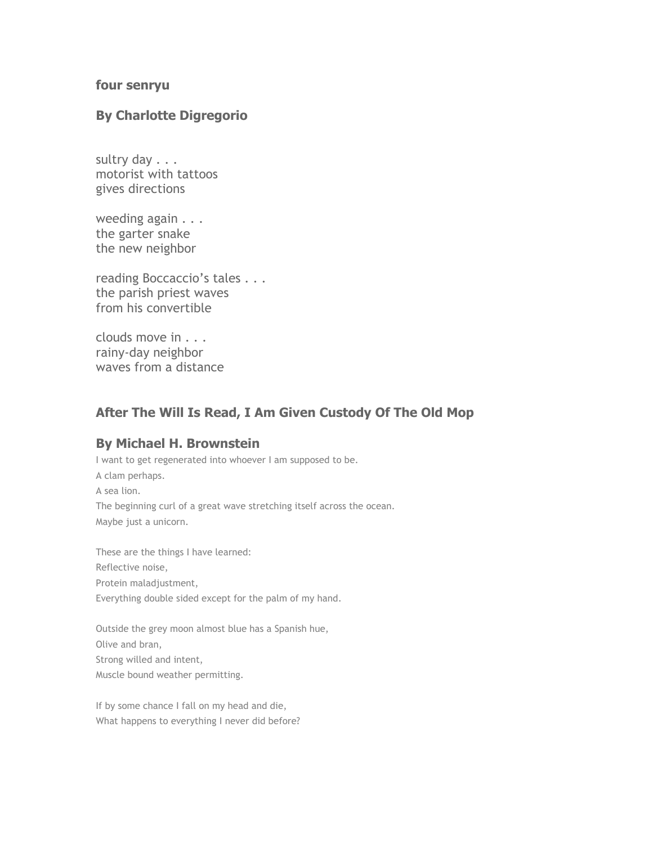#### **four senryu**

#### **By Charlotte Digregorio**

sultry day . . . motorist with tattoos gives directions

weeding again . . . the garter snake the new neighbor

reading Boccaccio's tales . . . the parish priest waves from his convertible

clouds move in . . . rainy-day neighbor waves from a distance

# **After The Will Is Read, I Am Given Custody Of The Old Mop**

#### **By Michael H. Brownstein**

I want to get regenerated into whoever I am supposed to be. A clam perhaps. A sea lion. The beginning curl of a great wave stretching itself across the ocean. Maybe just a unicorn.

These are the things I have learned: Reflective noise, Protein maladjustment, Everything double sided except for the palm of my hand.

Outside the grey moon almost blue has a Spanish hue, Olive and bran, Strong willed and intent, Muscle bound weather permitting.

If by some chance I fall on my head and die, What happens to everything I never did before?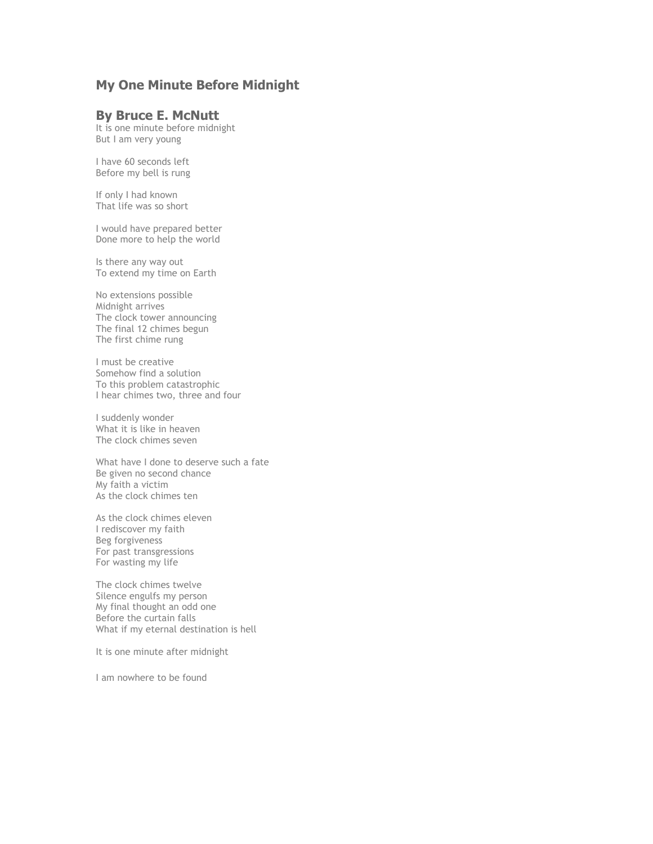# **My One Minute Before Midnight**

#### **By Bruce E. McNutt**

It is one minute before midnight But I am very young

I have 60 seconds left Before my bell is rung

If only I had known That life was so short

I would have prepared better Done more to help the world

Is there any way out To extend my time on Earth

No extensions possible Midnight arrives The clock tower announcing The final 12 chimes begun The first chime rung

I must be creative Somehow find a solution To this problem catastrophic I hear chimes two, three and four

I suddenly wonder What it is like in heaven The clock chimes seven

What have I done to deserve such a fate Be given no second chance My faith a victim As the clock chimes ten

As the clock chimes eleven I rediscover my faith Beg forgiveness For past transgressions For wasting my life

The clock chimes twelve Silence engulfs my person My final thought an odd one Before the curtain falls What if my eternal destination is hell

It is one minute after midnight

I am nowhere to be found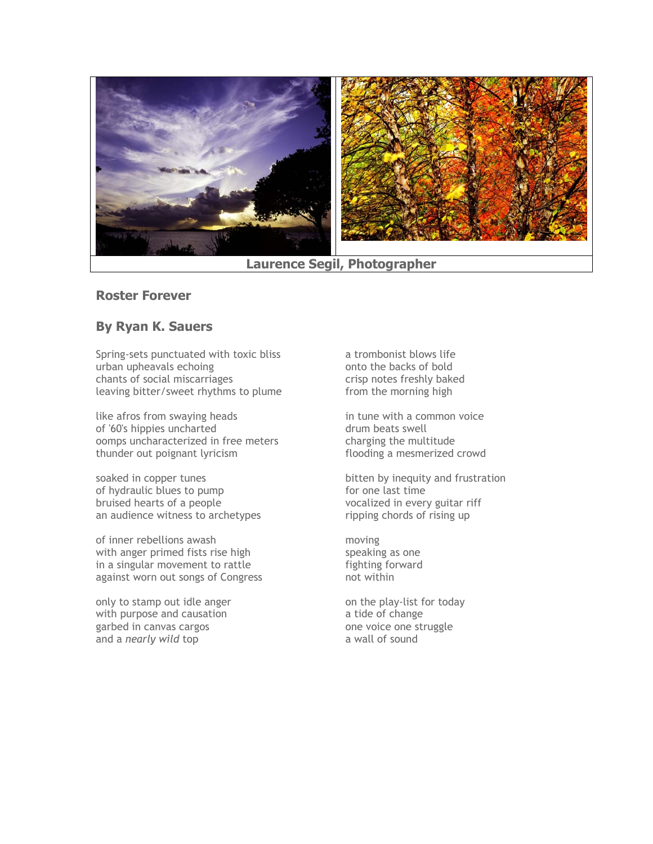

#### **Laurence Segil, Photographer**

#### **Roster Forever**

## **By Ryan K. Sauers**

Spring-sets punctuated with toxic bliss urban upheavals echoing chants of social miscarriages leaving bitter/sweet rhythms to plume

like afros from swaying heads of '60's hippies uncharted oomps uncharacterized in free meters thunder out poignant lyricism

soaked in copper tunes of hydraulic blues to pump bruised hearts of a people an audience witness to archetypes

of inner rebellions awash with anger primed fists rise high in a singular movement to rattle against worn out songs of Congress

only to stamp out idle anger with purpose and causation garbed in canvas cargos and a *nearly wild* top

a trombonist blows life onto the backs of bold crisp notes freshly baked from the morning high

in tune with a common voice drum beats swell charging the multitude flooding a mesmerized crowd

bitten by inequity and frustration for one last time vocalized in every guitar riff ripping chords of rising up

moving speaking as one fighting forward not within

on the play-list for today a tide of change one voice one struggle a wall of sound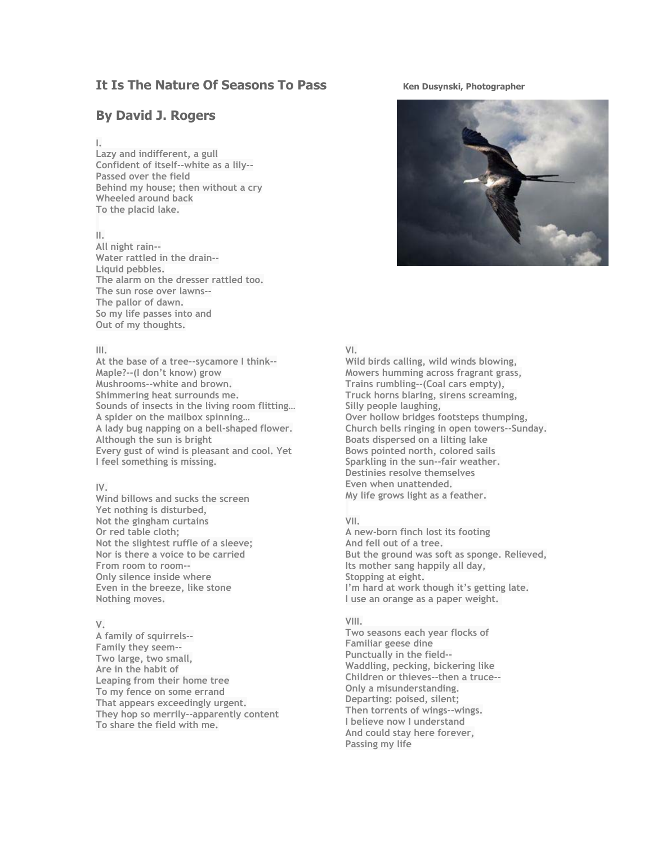## **It Is The Nature Of Seasons To Pass** Ken Dusynski, Photographer

## **By David J. Rogers**

#### **I.**

**Lazy and indifferent, a gull Confident of itself--white as a lily-- Passed over the field Behind my house; then without a cry Wheeled around back To the placid lake.**

#### **II.**

**All night rain-- Water rattled in the drain-- Liquid pebbles. The alarm on the dresser rattled too. The sun rose over lawns-- The pallor of dawn. So my life passes into and Out of my thoughts.**

#### **III.**

**At the base of a tree--sycamore I think-- Maple?--(I don't know) grow Mushrooms--white and brown. Shimmering heat surrounds me. Sounds of insects in the living room flitting… A spider on the mailbox spinning… A lady bug napping on a bell-shaped flower. Although the sun is bright Every gust of wind is pleasant and cool. Yet I feel something is missing.**

#### $\mathsf{I} \mathsf{V}$

**Wind billows and sucks the screen Yet nothing is disturbed, Not the gingham curtains Or red table cloth; Not the slightest ruffle of a sleeve; Nor is there a voice to be carried From room to room-- Only silence inside where Even in the breeze, like stone Nothing moves.**

#### **V.**

**A family of squirrels-- Family they seem-- Two large, two small, Are in the habit of Leaping from their home tree To my fence on some errand That appears exceedingly urgent. They hop so merrily--apparently content To share the field with me.**



#### **VI.**

**Wild birds calling, wild winds blowing, Mowers humming across fragrant grass, Trains rumbling--(Coal cars empty), Truck horns blaring, sirens screaming, Silly people laughing, Over hollow bridges footsteps thumping, Church bells ringing in open towers--Sunday. Boats dispersed on a lilting lake Bows pointed north, colored sails Sparkling in the sun--fair weather. Destinies resolve themselves Even when unattended. My life grows light as a feather.** 

#### **VII.**

**A new-born finch lost its footing And fell out of a tree. But the ground was soft as sponge. Relieved, Its mother sang happily all day, Stopping at eight. I'm hard at work though it's getting late. I use an orange as a paper weight.** 

#### **VIII.**

**Two seasons each year flocks of Familiar geese dine Punctually in the field-- Waddling, pecking, bickering like Children or thieves--then a truce-- Only a misunderstanding. Departing: poised, silent; Then torrents of wings--wings. I believe now I understand And could stay here forever, Passing my life**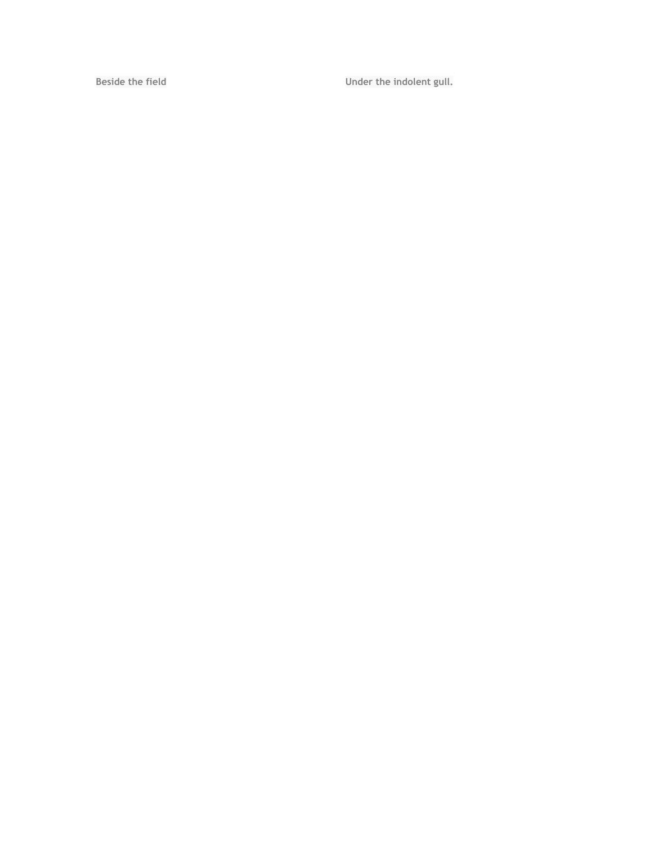Beside the field **Beside the indolent gull.**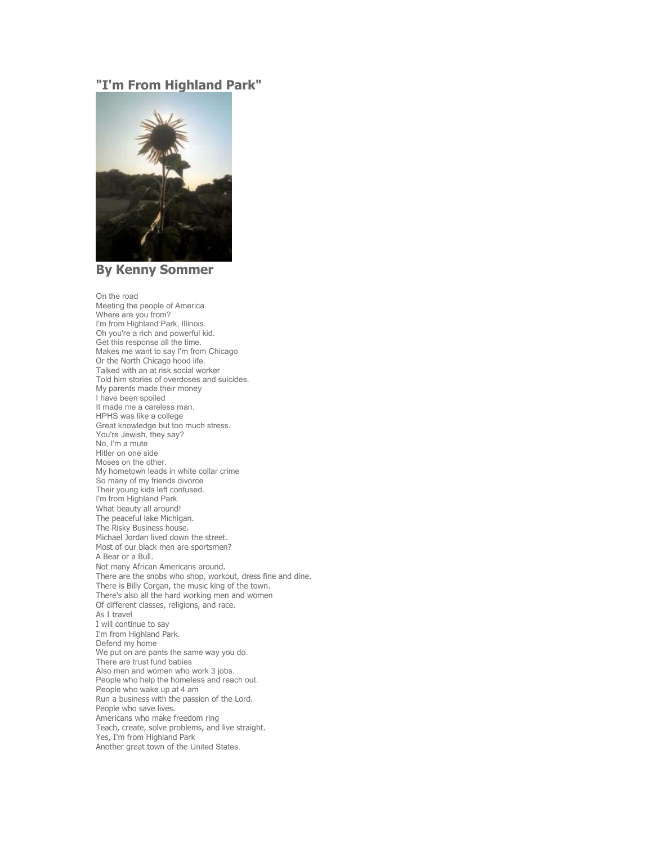## **"I'm From Highland Park"**



**By Kenny Sommer** 

On the road Meeting the people of America. Where are you from? I'm from Highland Park, Illinois. Oh you're a rich and powerful kid. Get this response all the time. Makes me want to say I'm from Chicago Or the North Chicago hood life. Talked with an at risk social worker Told him stories of overdoses and suicides. My parents made their money I have been spoiled It made me a careless man. HPHS was like a college Great knowledge but too much stress. You're Jewish, they say? No, I'm a mute Hitler on one side Moses on the other. My hometown leads in white collar crime So many of my friends divorce Their young kids left confused. I'm from Highland Park What beauty all around! The peaceful lake Michigan. The Risky Business house. Michael Jordan lived down the street. Most of our black men are sportsmen? A Bear or a Bull. Not many African Americans around. There are the snobs who shop, workout, dress fine and dine. There is Billy Corgan, the music king of the town. There's also all the hard working men and women Of different classes, religions, and race. As I travel I will continue to say I'm from Highland Park. Defend my home We put on are pants the same way you do. There are trust fund babies Also men and women who work 3 jobs. People who help the homeless and reach out. People who wake up at 4 am Run a business with the passion of the Lord. People who save lives. Americans who make freedom ring Teach, create, solve problems, and live straight. Yes, I'm from Highland Park Another great town of the United States.